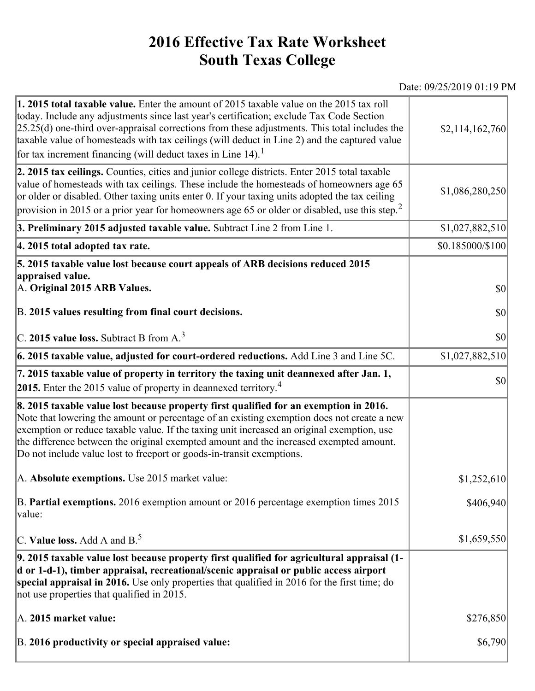## **2016 Effective Tax Rate Worksheet South Texas College**

Date: 09/25/2019 01:19 PM

| 1. 2015 total taxable value. Enter the amount of 2015 taxable value on the 2015 tax roll<br>today. Include any adjustments since last year's certification; exclude Tax Code Section<br>$[25.25(d)$ one-third over-appraisal corrections from these adjustments. This total includes the<br>taxable value of homesteads with tax ceilings (will deduct in Line 2) and the captured value<br>for tax increment financing (will deduct taxes in Line $14$ ). <sup>1</sup> | \$2,114,162,760  |
|-------------------------------------------------------------------------------------------------------------------------------------------------------------------------------------------------------------------------------------------------------------------------------------------------------------------------------------------------------------------------------------------------------------------------------------------------------------------------|------------------|
| 2. 2015 tax ceilings. Counties, cities and junior college districts. Enter 2015 total taxable<br>value of homesteads with tax ceilings. These include the homesteads of homeowners age 65<br>or older or disabled. Other taxing units enter 0. If your taxing units adopted the tax ceiling<br>provision in 2015 or a prior year for homeowners age 65 or older or disabled, use this step. <sup>2</sup>                                                                | \$1,086,280,250  |
| 3. Preliminary 2015 adjusted taxable value. Subtract Line 2 from Line 1.                                                                                                                                                                                                                                                                                                                                                                                                | \$1,027,882,510  |
| 4. 2015 total adopted tax rate.                                                                                                                                                                                                                                                                                                                                                                                                                                         | \$0.185000/\$100 |
| 5. 2015 taxable value lost because court appeals of ARB decisions reduced 2015<br>appraised value.<br>A. Original 2015 ARB Values.                                                                                                                                                                                                                                                                                                                                      | <b>\$0</b>       |
| B. 2015 values resulting from final court decisions.                                                                                                                                                                                                                                                                                                                                                                                                                    | \$0              |
| $\vert$ C. 2015 value loss. Subtract B from A. $^3$                                                                                                                                                                                                                                                                                                                                                                                                                     | \$0              |
| $\vert$ 6. 2015 taxable value, adjusted for court-ordered reductions. Add Line 3 and Line 5C.                                                                                                                                                                                                                                                                                                                                                                           | \$1,027,882,510  |
| 7. 2015 taxable value of property in territory the taxing unit deannexed after Jan. 1,<br><b>2015.</b> Enter the 2015 value of property in deannexed territory. <sup>4</sup>                                                                                                                                                                                                                                                                                            | $ 10\rangle$     |
| 8. 2015 taxable value lost because property first qualified for an exemption in 2016.<br>Note that lowering the amount or percentage of an existing exemption does not create a new<br>exemption or reduce taxable value. If the taxing unit increased an original exemption, use<br>the difference between the original exempted amount and the increased exempted amount.<br>Do not include value lost to freeport or goods-in-transit exemptions.                    |                  |
| A. Absolute exemptions. Use 2015 market value:                                                                                                                                                                                                                                                                                                                                                                                                                          | \$1,252,610      |
| B. Partial exemptions. 2016 exemption amount or 2016 percentage exemption times 2015<br>value:                                                                                                                                                                                                                                                                                                                                                                          | \$406,940        |
| C. Value loss. Add A and $B^5$ .                                                                                                                                                                                                                                                                                                                                                                                                                                        | \$1,659,550      |
| 9. 2015 taxable value lost because property first qualified for agricultural appraisal (1-<br>d or 1-d-1), timber appraisal, recreational/scenic appraisal or public access airport<br>special appraisal in 2016. Use only properties that qualified in 2016 for the first time; do<br>not use properties that qualified in 2015.                                                                                                                                       |                  |
| A. 2015 market value:                                                                                                                                                                                                                                                                                                                                                                                                                                                   | \$276,850        |
| B. 2016 productivity or special appraised value:                                                                                                                                                                                                                                                                                                                                                                                                                        | \$6,790          |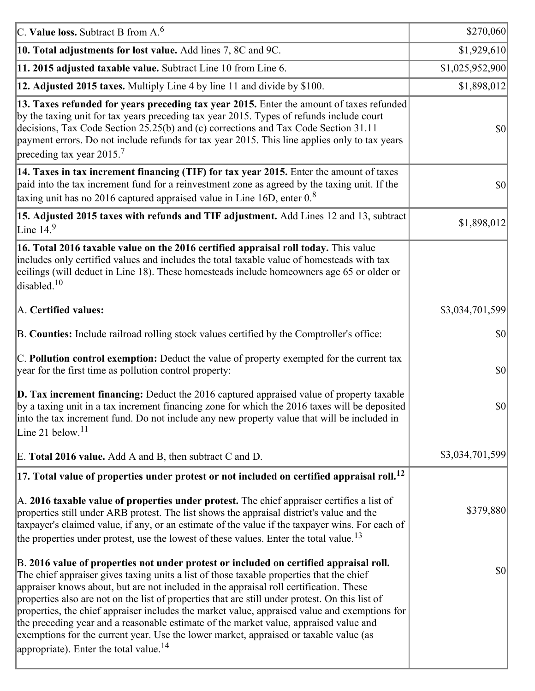| C. Value loss. Subtract B from $A6$                                                                                                                                                                                                                                                                                                                                                                                                                                                                                                                                                                                                                                                                                      | \$270,060       |
|--------------------------------------------------------------------------------------------------------------------------------------------------------------------------------------------------------------------------------------------------------------------------------------------------------------------------------------------------------------------------------------------------------------------------------------------------------------------------------------------------------------------------------------------------------------------------------------------------------------------------------------------------------------------------------------------------------------------------|-----------------|
| 10. Total adjustments for lost value. Add lines 7, 8C and 9C.                                                                                                                                                                                                                                                                                                                                                                                                                                                                                                                                                                                                                                                            | \$1,929,610     |
| 11. 2015 adjusted taxable value. Subtract Line 10 from Line 6.                                                                                                                                                                                                                                                                                                                                                                                                                                                                                                                                                                                                                                                           | \$1,025,952,900 |
| 12. Adjusted 2015 taxes. Multiply Line 4 by line 11 and divide by \$100.                                                                                                                                                                                                                                                                                                                                                                                                                                                                                                                                                                                                                                                 | \$1,898,012     |
| 13. Taxes refunded for years preceding tax year 2015. Enter the amount of taxes refunded<br>by the taxing unit for tax years preceding tax year 2015. Types of refunds include court<br>decisions, Tax Code Section 25.25(b) and (c) corrections and Tax Code Section 31.11<br>payment errors. Do not include refunds for tax year 2015. This line applies only to tax years<br>preceding tax year 2015. <sup>7</sup>                                                                                                                                                                                                                                                                                                    | \$0             |
| 14. Taxes in tax increment financing (TIF) for tax year 2015. Enter the amount of taxes<br>paid into the tax increment fund for a reinvestment zone as agreed by the taxing unit. If the<br>taxing unit has no 2016 captured appraised value in Line 16D, enter $08$                                                                                                                                                                                                                                                                                                                                                                                                                                                     | 30              |
| 15. Adjusted 2015 taxes with refunds and TIF adjustment. Add Lines 12 and 13, subtract<br>Line $149$                                                                                                                                                                                                                                                                                                                                                                                                                                                                                                                                                                                                                     | \$1,898,012     |
| 16. Total 2016 taxable value on the 2016 certified appraisal roll today. This value<br>includes only certified values and includes the total taxable value of homesteads with tax<br>ceilings (will deduct in Line 18). These homesteads include homeowners age 65 or older or<br>disabled. <sup>10</sup>                                                                                                                                                                                                                                                                                                                                                                                                                |                 |
| A. Certified values:                                                                                                                                                                                                                                                                                                                                                                                                                                                                                                                                                                                                                                                                                                     | \$3,034,701,599 |
| B. Counties: Include railroad rolling stock values certified by the Comptroller's office:                                                                                                                                                                                                                                                                                                                                                                                                                                                                                                                                                                                                                                | \$0             |
| C. Pollution control exemption: Deduct the value of property exempted for the current tax<br>year for the first time as pollution control property:                                                                                                                                                                                                                                                                                                                                                                                                                                                                                                                                                                      | $ 10\rangle$    |
| $\vert$ D. Tax increment financing: Deduct the 2016 captured appraised value of property taxable<br>by a taxing unit in a tax increment financing zone for which the 2016 taxes will be deposited<br>into the tax increment fund. Do not include any new property value that will be included in<br>Line 21 below. <sup>11</sup>                                                                                                                                                                                                                                                                                                                                                                                         | \$0             |
| E. Total 2016 value. Add A and B, then subtract C and D.                                                                                                                                                                                                                                                                                                                                                                                                                                                                                                                                                                                                                                                                 | \$3,034,701,599 |
| $ 17.$ Total value of properties under protest or not included on certified appraisal roll. $^{12}$                                                                                                                                                                                                                                                                                                                                                                                                                                                                                                                                                                                                                      |                 |
| A. 2016 taxable value of properties under protest. The chief appraiser certifies a list of<br>properties still under ARB protest. The list shows the appraisal district's value and the<br>taxpayer's claimed value, if any, or an estimate of the value if the taxpayer wins. For each of<br>the properties under protest, use the lowest of these values. Enter the total value. <sup>13</sup>                                                                                                                                                                                                                                                                                                                         | \$379,880       |
| B. 2016 value of properties not under protest or included on certified appraisal roll.<br>The chief appraiser gives taxing units a list of those taxable properties that the chief<br>appraiser knows about, but are not included in the appraisal roll certification. These<br>properties also are not on the list of properties that are still under protest. On this list of<br>properties, the chief appraiser includes the market value, appraised value and exemptions for<br>the preceding year and a reasonable estimate of the market value, appraised value and<br>exemptions for the current year. Use the lower market, appraised or taxable value (as<br>appropriate). Enter the total value. <sup>14</sup> | 30              |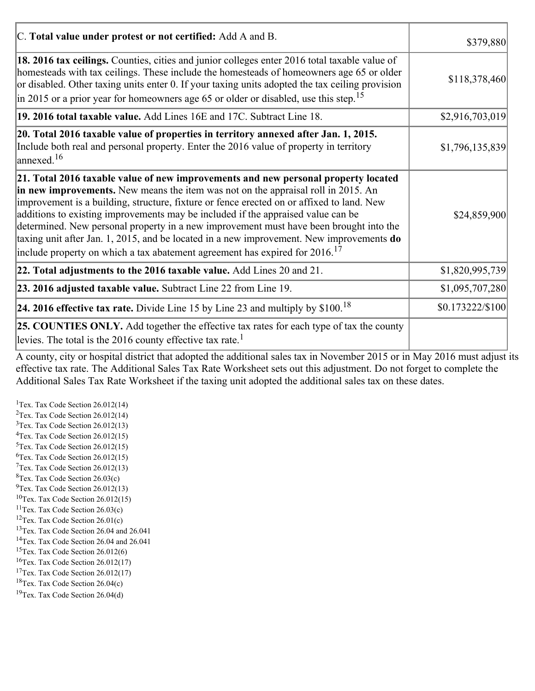| C. Total value under protest or not certified: Add A and B.                                                                                                                                                                                                                                                                                                                                                                                                                                                                                                                                                                                  | \$379,880              |
|----------------------------------------------------------------------------------------------------------------------------------------------------------------------------------------------------------------------------------------------------------------------------------------------------------------------------------------------------------------------------------------------------------------------------------------------------------------------------------------------------------------------------------------------------------------------------------------------------------------------------------------------|------------------------|
| 18. 2016 tax ceilings. Counties, cities and junior colleges enter 2016 total taxable value of<br>homesteads with tax ceilings. These include the homesteads of homeowners age 65 or older<br>or disabled. Other taxing units enter 0. If your taxing units adopted the tax ceiling provision<br>in 2015 or a prior year for homeowners age 65 or older or disabled, use this step. <sup>15</sup>                                                                                                                                                                                                                                             | \$118,378,460          |
| 19. 2016 total taxable value. Add Lines 16E and 17C. Subtract Line 18.                                                                                                                                                                                                                                                                                                                                                                                                                                                                                                                                                                       | \$2,916,703,019        |
| 20. Total 2016 taxable value of properties in territory annexed after Jan. 1, 2015.<br>Include both real and personal property. Enter the 2016 value of property in territory<br>$\alpha$ annexed. <sup>16</sup>                                                                                                                                                                                                                                                                                                                                                                                                                             | \$1,796,135,839        |
| 21. Total 2016 taxable value of new improvements and new personal property located<br>in new improvements. New means the item was not on the appraisal roll in 2015. An<br>improvement is a building, structure, fixture or fence erected on or affixed to land. New<br>additions to existing improvements may be included if the appraised value can be<br>determined. New personal property in a new improvement must have been brought into the<br>taxing unit after Jan. 1, 2015, and be located in a new improvement. New improvements do<br>include property on which a tax abatement agreement has expired for $2016$ . <sup>17</sup> | \$24,859,900           |
| 22. Total adjustments to the 2016 taxable value. Add Lines 20 and 21.                                                                                                                                                                                                                                                                                                                                                                                                                                                                                                                                                                        | \$1,820,995,739        |
| 23. 2016 adjusted taxable value. Subtract Line 22 from Line 19.                                                                                                                                                                                                                                                                                                                                                                                                                                                                                                                                                                              | \$1,095,707,280        |
| 24. 2016 effective tax rate. Divide Line 15 by Line 23 and multiply by $$100$ . <sup>18</sup>                                                                                                                                                                                                                                                                                                                                                                                                                                                                                                                                                | $$0.173222 \times 100$ |
| <b>25. COUNTIES ONLY.</b> Add together the effective tax rates for each type of tax the county<br>levies. The total is the 2016 county effective tax rate. <sup>1</sup>                                                                                                                                                                                                                                                                                                                                                                                                                                                                      |                        |

A county, city or hospital district that adopted the additional sales tax in November 2015 or in May 2016 must adjust its effective tax rate. The Additional Sales Tax Rate Worksheet sets out this adjustment. Do not forget to complete the Additional Sales Tax Rate Worksheet if the taxing unit adopted the additional sales tax on these dates.

<sup>1</sup>Tex. Tax Code Section  $26.012(14)$ <sup>2</sup>Tex. Tax Code Section  $26.012(14)$  $3$ Tex. Tax Code Section 26.012(13)  ${}^{4}$ Tex. Tax Code Section 26.012(15)  $5$ Tex. Tax Code Section 26.012(15)  ${}^{6}$ Tex. Tax Code Section 26.012(15)  $7$ Tex. Tax Code Section 26.012(13)  ${}^{8}$ Tex. Tax Code Section 26.03(c)  $^{9}$ Tex. Tax Code Section 26.012(13)  $10$ Tex. Tax Code Section 26.012(15) <sup>11</sup>Tex. Tax Code Section  $26.03(c)$ <sup>12</sup>Tex. Tax Code Section  $26.01(c)$ <sup>13</sup>Tex. Tax Code Section 26.04 and 26.041 <sup>14</sup>Tex. Tax Code Section 26.04 and 26.041 <sup>15</sup>Tex. Tax Code Section  $26.012(6)$  $16$ Tex. Tax Code Section 26.012(17) <sup>17</sup>Tex. Tax Code Section  $26.012(17)$ <sup>18</sup>Tex. Tax Code Section 26.04(c) <sup>19</sup>Tex. Tax Code Section 26.04(d)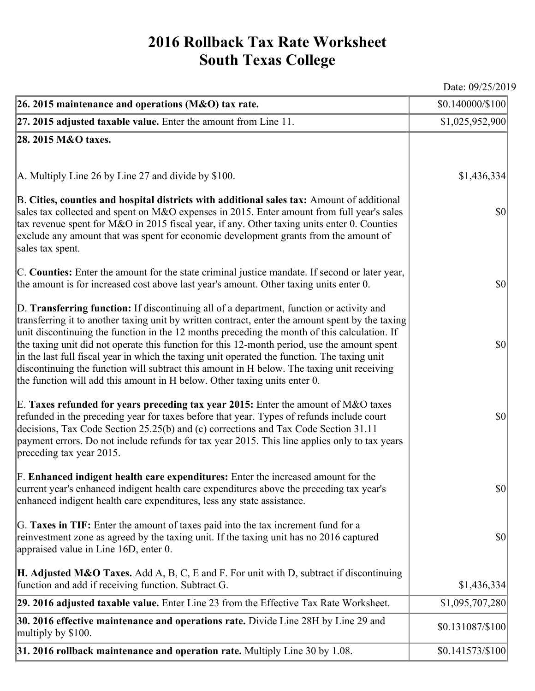## **2016 Rollback Tax Rate Worksheet South Texas College**

Date: 09/25/2019

| 26. 2015 maintenance and operations (M&O) tax rate.                                                                                                                                                                                                                                                                                                                                                                                                                                                                                                                                                                                                                     | \$0.140000/\$100 |
|-------------------------------------------------------------------------------------------------------------------------------------------------------------------------------------------------------------------------------------------------------------------------------------------------------------------------------------------------------------------------------------------------------------------------------------------------------------------------------------------------------------------------------------------------------------------------------------------------------------------------------------------------------------------------|------------------|
| $ 27.2015$ adjusted taxable value. Enter the amount from Line 11.                                                                                                                                                                                                                                                                                                                                                                                                                                                                                                                                                                                                       | \$1,025,952,900  |
| 28. 2015 M&O taxes.                                                                                                                                                                                                                                                                                                                                                                                                                                                                                                                                                                                                                                                     |                  |
|                                                                                                                                                                                                                                                                                                                                                                                                                                                                                                                                                                                                                                                                         |                  |
| A. Multiply Line 26 by Line 27 and divide by \$100.                                                                                                                                                                                                                                                                                                                                                                                                                                                                                                                                                                                                                     | \$1,436,334      |
| B. Cities, counties and hospital districts with additional sales tax: Amount of additional<br>sales tax collected and spent on M&O expenses in 2015. Enter amount from full year's sales<br>tax revenue spent for M&O in 2015 fiscal year, if any. Other taxing units enter 0. Counties<br>exclude any amount that was spent for economic development grants from the amount of<br>sales tax spent.                                                                                                                                                                                                                                                                     | $ 10\rangle$     |
| C. Counties: Enter the amount for the state criminal justice mandate. If second or later year,<br>the amount is for increased cost above last year's amount. Other taxing units enter 0.                                                                                                                                                                                                                                                                                                                                                                                                                                                                                | $ 10\rangle$     |
| D. Transferring function: If discontinuing all of a department, function or activity and<br>transferring it to another taxing unit by written contract, enter the amount spent by the taxing<br>unit discontinuing the function in the 12 months preceding the month of this calculation. If<br>the taxing unit did not operate this function for this 12-month period, use the amount spent<br>in the last full fiscal year in which the taxing unit operated the function. The taxing unit<br>discontinuing the function will subtract this amount in H below. The taxing unit receiving<br>the function will add this amount in H below. Other taxing units enter 0. | $ 10\rangle$     |
| E. Taxes refunded for years preceding tax year 2015: Enter the amount of M&O taxes<br>refunded in the preceding year for taxes before that year. Types of refunds include court<br>decisions, Tax Code Section 25.25(b) and (c) corrections and Tax Code Section 31.11<br>payment errors. Do not include refunds for tax year 2015. This line applies only to tax years<br>preceding tax year 2015.                                                                                                                                                                                                                                                                     | $ 10\rangle$     |
| F. Enhanced indigent health care expenditures: Enter the increased amount for the<br>current year's enhanced indigent health care expenditures above the preceding tax year's<br>enhanced indigent health care expenditures, less any state assistance.                                                                                                                                                                                                                                                                                                                                                                                                                 | <b>\$0</b>       |
| G. Taxes in TIF: Enter the amount of taxes paid into the tax increment fund for a<br>reinvestment zone as agreed by the taxing unit. If the taxing unit has no 2016 captured<br>appraised value in Line 16D, enter 0.                                                                                                                                                                                                                                                                                                                                                                                                                                                   | $ 10\rangle$     |
| <b>H. Adjusted M&amp;O Taxes.</b> Add A, B, C, E and F. For unit with D, subtract if discontinuing<br>function and add if receiving function. Subtract G.                                                                                                                                                                                                                                                                                                                                                                                                                                                                                                               | \$1,436,334      |
| 29. 2016 adjusted taxable value. Enter Line 23 from the Effective Tax Rate Worksheet.                                                                                                                                                                                                                                                                                                                                                                                                                                                                                                                                                                                   | \$1,095,707,280  |
| 30. 2016 effective maintenance and operations rate. Divide Line 28H by Line 29 and<br>multiply by \$100.                                                                                                                                                                                                                                                                                                                                                                                                                                                                                                                                                                | \$0.131087/\$100 |
| $31.2016$ rollback maintenance and operation rate. Multiply Line 30 by 1.08.                                                                                                                                                                                                                                                                                                                                                                                                                                                                                                                                                                                            | \$0.141573/\$100 |